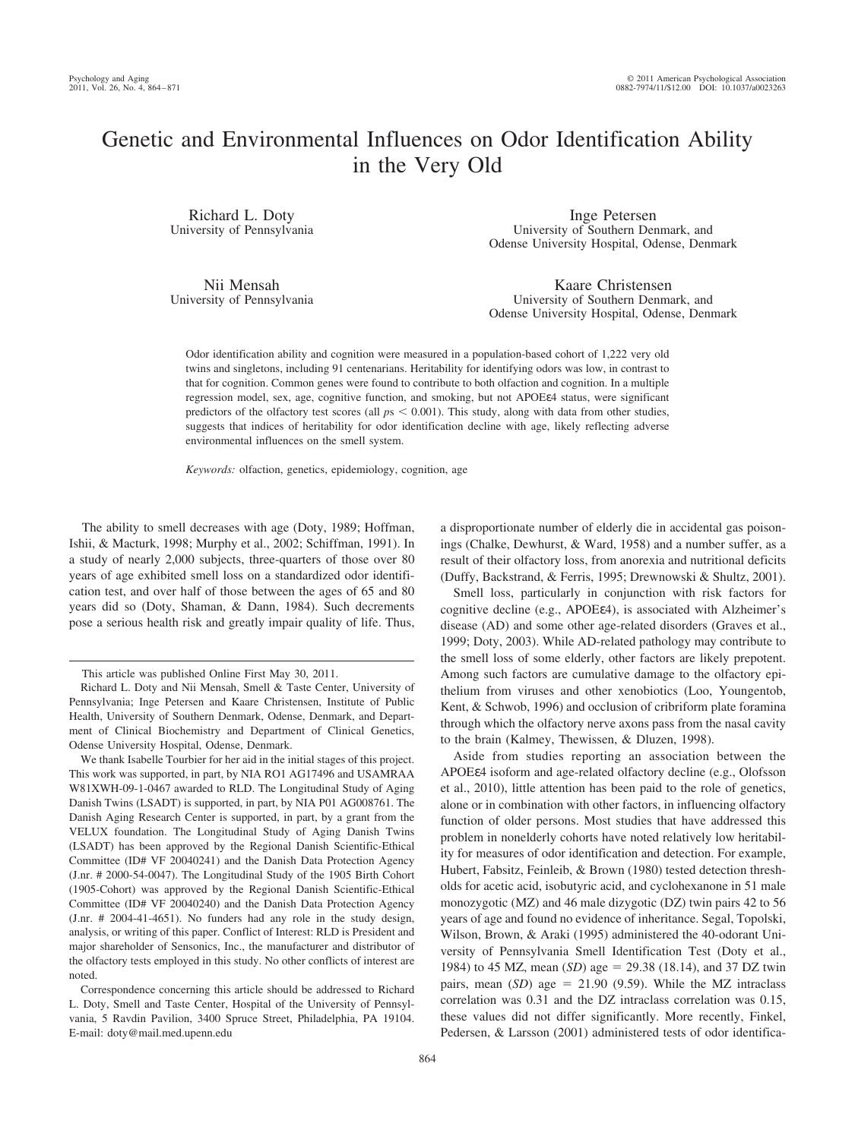# Genetic and Environmental Influences on Odor Identification Ability in the Very Old

Richard L. Doty University of Pennsylvania

Nii Mensah University of Pennsylvania

Inge Petersen University of Southern Denmark, and Odense University Hospital, Odense, Denmark

Kaare Christensen University of Southern Denmark, and Odense University Hospital, Odense, Denmark

Odor identification ability and cognition were measured in a population-based cohort of 1,222 very old twins and singletons, including 91 centenarians. Heritability for identifying odors was low, in contrast to that for cognition. Common genes were found to contribute to both olfaction and cognition. In a multiple regression model, sex, age, cognitive function, and smoking, but not APOEε4 status, were significant predictors of the olfactory test scores (all  $ps < 0.001$ ). This study, along with data from other studies, suggests that indices of heritability for odor identification decline with age, likely reflecting adverse environmental influences on the smell system.

*Keywords:* olfaction, genetics, epidemiology, cognition, age

The ability to smell decreases with age (Doty, 1989; Hoffman, Ishii, & Macturk, 1998; Murphy et al., 2002; Schiffman, 1991). In a study of nearly 2,000 subjects, three-quarters of those over 80 years of age exhibited smell loss on a standardized odor identification test, and over half of those between the ages of 65 and 80 years did so (Doty, Shaman, & Dann, 1984). Such decrements pose a serious health risk and greatly impair quality of life. Thus,

We thank Isabelle Tourbier for her aid in the initial stages of this project. This work was supported, in part, by NIA RO1 AG17496 and USAMRAA W81XWH-09-1-0467 awarded to RLD. The Longitudinal Study of Aging Danish Twins (LSADT) is supported, in part, by NIA P01 AG008761. The Danish Aging Research Center is supported, in part, by a grant from the VELUX foundation. The Longitudinal Study of Aging Danish Twins (LSADT) has been approved by the Regional Danish Scientific-Ethical Committee (ID# VF 20040241) and the Danish Data Protection Agency (J.nr. # 2000-54-0047). The Longitudinal Study of the 1905 Birth Cohort (1905-Cohort) was approved by the Regional Danish Scientific-Ethical Committee (ID# VF 20040240) and the Danish Data Protection Agency (J.nr. # 2004-41-4651). No funders had any role in the study design, analysis, or writing of this paper. Conflict of Interest: RLD is President and major shareholder of Sensonics, Inc., the manufacturer and distributor of the olfactory tests employed in this study. No other conflicts of interest are noted.

Correspondence concerning this article should be addressed to Richard L. Doty, Smell and Taste Center, Hospital of the University of Pennsylvania, 5 Ravdin Pavilion, 3400 Spruce Street, Philadelphia, PA 19104. E-mail: doty@mail.med.upenn.edu

a disproportionate number of elderly die in accidental gas poisonings (Chalke, Dewhurst, & Ward, 1958) and a number suffer, as a result of their olfactory loss, from anorexia and nutritional deficits (Duffy, Backstrand, & Ferris, 1995; Drewnowski & Shultz, 2001).

Smell loss, particularly in conjunction with risk factors for cognitive decline (e.g., APOEε4), is associated with Alzheimer's disease (AD) and some other age-related disorders (Graves et al., 1999; Doty, 2003). While AD-related pathology may contribute to the smell loss of some elderly, other factors are likely prepotent. Among such factors are cumulative damage to the olfactory epithelium from viruses and other xenobiotics (Loo, Youngentob, Kent, & Schwob, 1996) and occlusion of cribriform plate foramina through which the olfactory nerve axons pass from the nasal cavity to the brain (Kalmey, Thewissen, & Dluzen, 1998).

Aside from studies reporting an association between the APOEε4 isoform and age-related olfactory decline (e.g., Olofsson et al., 2010), little attention has been paid to the role of genetics, alone or in combination with other factors, in influencing olfactory function of older persons. Most studies that have addressed this problem in nonelderly cohorts have noted relatively low heritability for measures of odor identification and detection. For example, Hubert, Fabsitz, Feinleib, & Brown (1980) tested detection thresholds for acetic acid, isobutyric acid, and cyclohexanone in 51 male monozygotic (MZ) and 46 male dizygotic (DZ) twin pairs 42 to 56 years of age and found no evidence of inheritance. Segal, Topolski, Wilson, Brown, & Araki (1995) administered the 40-odorant University of Pennsylvania Smell Identification Test (Doty et al., 1984) to 45 MZ, mean (SD) age = 29.38 (18.14), and 37 DZ twin pairs, mean  $(SD)$  age = 21.90 (9.59). While the MZ intraclass correlation was 0.31 and the DZ intraclass correlation was 0.15, these values did not differ significantly. More recently, Finkel, Pedersen, & Larsson (2001) administered tests of odor identifica-

This article was published Online First May 30, 2011.

Richard L. Doty and Nii Mensah, Smell & Taste Center, University of Pennsylvania; Inge Petersen and Kaare Christensen, Institute of Public Health, University of Southern Denmark, Odense, Denmark, and Department of Clinical Biochemistry and Department of Clinical Genetics, Odense University Hospital, Odense, Denmark.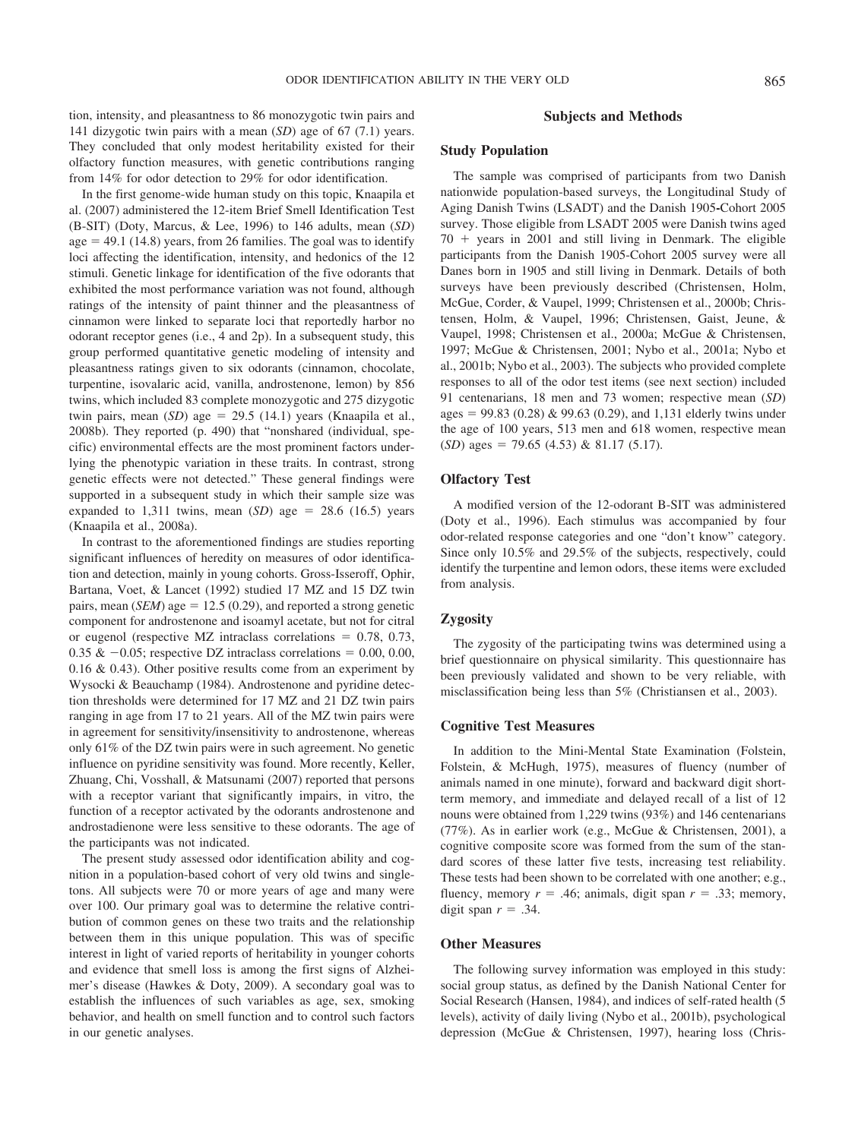tion, intensity, and pleasantness to 86 monozygotic twin pairs and 141 dizygotic twin pairs with a mean (*SD*) age of 67 (7.1) years. They concluded that only modest heritability existed for their olfactory function measures, with genetic contributions ranging from 14% for odor detection to 29% for odor identification.

In the first genome-wide human study on this topic, Knaapila et al. (2007) administered the 12-item Brief Smell Identification Test (B-SIT) (Doty, Marcus, & Lee, 1996) to 146 adults, mean (*SD*)  $age = 49.1$  (14.8) years, from 26 families. The goal was to identify loci affecting the identification, intensity, and hedonics of the 12 stimuli. Genetic linkage for identification of the five odorants that exhibited the most performance variation was not found, although ratings of the intensity of paint thinner and the pleasantness of cinnamon were linked to separate loci that reportedly harbor no odorant receptor genes (i.e., 4 and 2p). In a subsequent study, this group performed quantitative genetic modeling of intensity and pleasantness ratings given to six odorants (cinnamon, chocolate, turpentine, isovalaric acid, vanilla, androstenone, lemon) by 856 twins, which included 83 complete monozygotic and 275 dizygotic twin pairs, mean  $(SD)$  age = 29.5  $(14.1)$  years (Knaapila et al., 2008b). They reported (p. 490) that "nonshared (individual, specific) environmental effects are the most prominent factors underlying the phenotypic variation in these traits. In contrast, strong genetic effects were not detected." These general findings were supported in a subsequent study in which their sample size was expanded to  $1,311$  twins, mean  $(SD)$  age = 28.6  $(16.5)$  years (Knaapila et al., 2008a).

In contrast to the aforementioned findings are studies reporting significant influences of heredity on measures of odor identification and detection, mainly in young cohorts. Gross-Isseroff, Ophir, Bartana, Voet, & Lancet (1992) studied 17 MZ and 15 DZ twin pairs, mean  $(SEM)$  age = 12.5 (0.29), and reported a strong genetic component for androstenone and isoamyl acetate, but not for citral or eugenol (respective MZ intraclass correlations  $= 0.78, 0.73,$  $0.35 \& -0.05$ ; respective DZ intraclass correlations = 0.00, 0.00, 0.16 & 0.43). Other positive results come from an experiment by Wysocki & Beauchamp (1984). Androstenone and pyridine detection thresholds were determined for 17 MZ and 21 DZ twin pairs ranging in age from 17 to 21 years. All of the MZ twin pairs were in agreement for sensitivity/insensitivity to androstenone, whereas only 61% of the DZ twin pairs were in such agreement. No genetic influence on pyridine sensitivity was found. More recently, Keller, Zhuang, Chi, Vosshall, & Matsunami (2007) reported that persons with a receptor variant that significantly impairs, in vitro, the function of a receptor activated by the odorants androstenone and androstadienone were less sensitive to these odorants. The age of the participants was not indicated.

The present study assessed odor identification ability and cognition in a population-based cohort of very old twins and singletons. All subjects were 70 or more years of age and many were over 100. Our primary goal was to determine the relative contribution of common genes on these two traits and the relationship between them in this unique population. This was of specific interest in light of varied reports of heritability in younger cohorts and evidence that smell loss is among the first signs of Alzheimer's disease (Hawkes & Doty, 2009). A secondary goal was to establish the influences of such variables as age, sex, smoking behavior, and health on smell function and to control such factors in our genetic analyses.

## **Subjects and Methods**

## **Study Population**

The sample was comprised of participants from two Danish nationwide population-based surveys, the Longitudinal Study of Aging Danish Twins (LSADT) and the Danish 1905**-**Cohort 2005 survey. Those eligible from LSADT 2005 were Danish twins aged  $70 + \text{years}$  in 2001 and still living in Denmark. The eligible participants from the Danish 1905-Cohort 2005 survey were all Danes born in 1905 and still living in Denmark. Details of both surveys have been previously described (Christensen, Holm, McGue, Corder, & Vaupel, 1999; Christensen et al., 2000b; Christensen, Holm, & Vaupel, 1996; Christensen, Gaist, Jeune, & Vaupel, 1998; Christensen et al., 2000a; McGue & Christensen, 1997; McGue & Christensen, 2001; Nybo et al., 2001a; Nybo et al., 2001b; Nybo et al., 2003). The subjects who provided complete responses to all of the odor test items (see next section) included 91 centenarians, 18 men and 73 women; respective mean (*SD*)  $ages = 99.83 (0.28) \& 99.63 (0.29)$ , and 1,131 elderly twins under the age of 100 years, 513 men and 618 women, respective mean  $(SD)$  ages = 79.65 (4.53) & 81.17 (5.17).

## **Olfactory Test**

A modified version of the 12-odorant B-SIT was administered (Doty et al., 1996). Each stimulus was accompanied by four odor-related response categories and one "don't know" category. Since only 10.5% and 29.5% of the subjects, respectively, could identify the turpentine and lemon odors, these items were excluded from analysis.

## **Zygosity**

The zygosity of the participating twins was determined using a brief questionnaire on physical similarity. This questionnaire has been previously validated and shown to be very reliable, with misclassification being less than 5% (Christiansen et al., 2003).

#### **Cognitive Test Measures**

In addition to the Mini-Mental State Examination (Folstein, Folstein, & McHugh, 1975), measures of fluency (number of animals named in one minute), forward and backward digit shortterm memory, and immediate and delayed recall of a list of 12 nouns were obtained from 1,229 twins (93%) and 146 centenarians (77%). As in earlier work (e.g., McGue & Christensen, 2001), a cognitive composite score was formed from the sum of the standard scores of these latter five tests, increasing test reliability. These tests had been shown to be correlated with one another; e.g., fluency, memory  $r = .46$ ; animals, digit span  $r = .33$ ; memory, digit span  $r = .34$ .

#### **Other Measures**

The following survey information was employed in this study: social group status, as defined by the Danish National Center for Social Research (Hansen, 1984), and indices of self-rated health (5 levels), activity of daily living (Nybo et al., 2001b), psychological depression (McGue & Christensen, 1997), hearing loss (Chris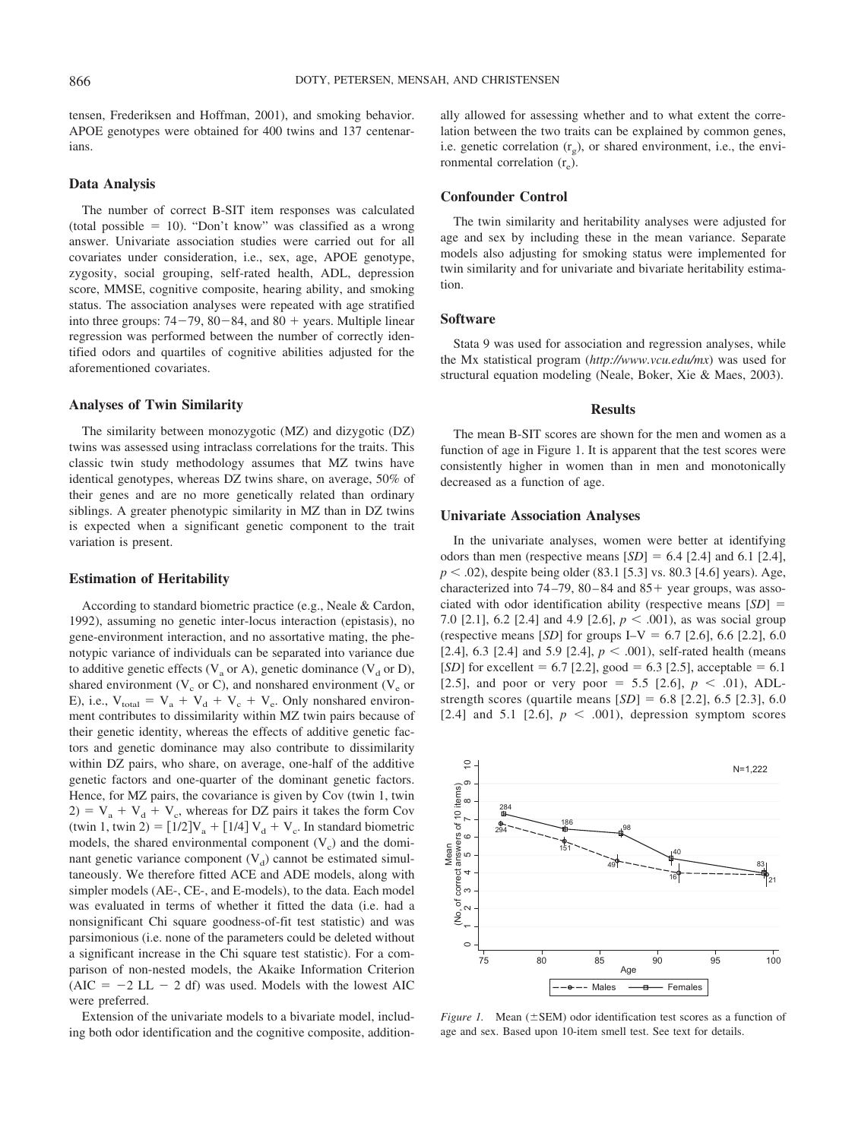tensen, Frederiksen and Hoffman, 2001), and smoking behavior. APOE genotypes were obtained for 400 twins and 137 centenarians.

#### **Data Analysis**

The number of correct B-SIT item responses was calculated  $(total possible = 10)$ . "Don't know" was classified as a wrong answer. Univariate association studies were carried out for all covariates under consideration, i.e., sex, age, APOE genotype, zygosity, social grouping, self-rated health, ADL, depression score, MMSE, cognitive composite, hearing ability, and smoking status. The association analyses were repeated with age stratified into three groups:  $74-79$ ,  $80-84$ , and  $80 +$  years. Multiple linear regression was performed between the number of correctly identified odors and quartiles of cognitive abilities adjusted for the aforementioned covariates.

#### **Analyses of Twin Similarity**

The similarity between monozygotic (MZ) and dizygotic (DZ) twins was assessed using intraclass correlations for the traits. This classic twin study methodology assumes that MZ twins have identical genotypes, whereas DZ twins share, on average, 50% of their genes and are no more genetically related than ordinary siblings. A greater phenotypic similarity in MZ than in DZ twins is expected when a significant genetic component to the trait variation is present.

#### **Estimation of Heritability**

According to standard biometric practice (e.g., Neale & Cardon, 1992), assuming no genetic inter-locus interaction (epistasis), no gene-environment interaction, and no assortative mating, the phenotypic variance of individuals can be separated into variance due to additive genetic effects ( $V_a$  or A), genetic dominance ( $V_d$  or D), shared environment ( $V_c$  or C), and nonshared environment ( $V_e$  or E), i.e.,  $V_{total} = V_a + V_d + V_c + V_e$ . Only nonshared environment contributes to dissimilarity within MZ twin pairs because of their genetic identity, whereas the effects of additive genetic factors and genetic dominance may also contribute to dissimilarity within DZ pairs, who share, on average, one-half of the additive genetic factors and one-quarter of the dominant genetic factors. Hence, for MZ pairs, the covariance is given by Cov (twin 1, twin  $2) = V_a + V_d + V_c$ , whereas for DZ pairs it takes the form Cov (twin 1, twin 2) =  $[1/2]V_a + [1/4]V_d + V_c$ . In standard biometric models, the shared environmental component  $(V_c)$  and the dominant genetic variance component  $(V_d)$  cannot be estimated simultaneously. We therefore fitted ACE and ADE models, along with simpler models (AE-, CE-, and E-models), to the data. Each model was evaluated in terms of whether it fitted the data (i.e. had a nonsignificant Chi square goodness-of-fit test statistic) and was parsimonious (i.e. none of the parameters could be deleted without a significant increase in the Chi square test statistic). For a comparison of non-nested models, the Akaike Information Criterion  $(AIC = -2 LL - 2 df)$  was used. Models with the lowest AIC were preferred.

Extension of the univariate models to a bivariate model, including both odor identification and the cognitive composite, additionally allowed for assessing whether and to what extent the correlation between the two traits can be explained by common genes, i.e. genetic correlation  $(r<sub>g</sub>)$ , or shared environment, i.e., the environmental correlation  $(r_e)$ .

## **Confounder Control**

The twin similarity and heritability analyses were adjusted for age and sex by including these in the mean variance. Separate models also adjusting for smoking status were implemented for twin similarity and for univariate and bivariate heritability estimation.

## **Software**

Stata 9 was used for association and regression analyses, while the Mx statistical program (*http://www.vcu.edu/mx*) was used for structural equation modeling (Neale, Boker, Xie & Maes, 2003).

### **Results**

The mean B-SIT scores are shown for the men and women as a function of age in Figure 1. It is apparent that the test scores were consistently higher in women than in men and monotonically decreased as a function of age.

#### **Univariate Association Analyses**

In the univariate analyses, women were better at identifying odors than men (respective means  $[SD] = 6.4$  [2.4] and 6.1 [2.4],  $p < .02$ ), despite being older (83.1 [5.3] vs. 80.3 [4.6] years). Age, characterized into  $74-79$ ,  $80-84$  and  $85+$  year groups, was associated with odor identification ability (respective means  $[SD] =$ 7.0 [2.1], 6.2 [2.4] and 4.9 [2.6],  $p < .001$ ), as was social group (respective means [*SD*] for groups  $I-V = 6.7$  [2.6], 6.6 [2.2], 6.0 [2.4], 6.3 [2.4] and 5.9 [2.4],  $p < .001$ ), self-rated health (means [*SD*] for excellent =  $6.7$  [2.2], good =  $6.3$  [2.5], acceptable =  $6.1$ [2.5], and poor or very poor = 5.5 [2.6],  $p < .01$ ), ADLstrength scores (quartile means  $[SD] = 6.8$  [2.2], 6.5 [2.3], 6.0 [2.4] and 5.1 [2.6],  $p < .001$ ), depression symptom scores



*Figure 1.* Mean ( $\pm$ SEM) odor identification test scores as a function of age and sex. Based upon 10-item smell test. See text for details.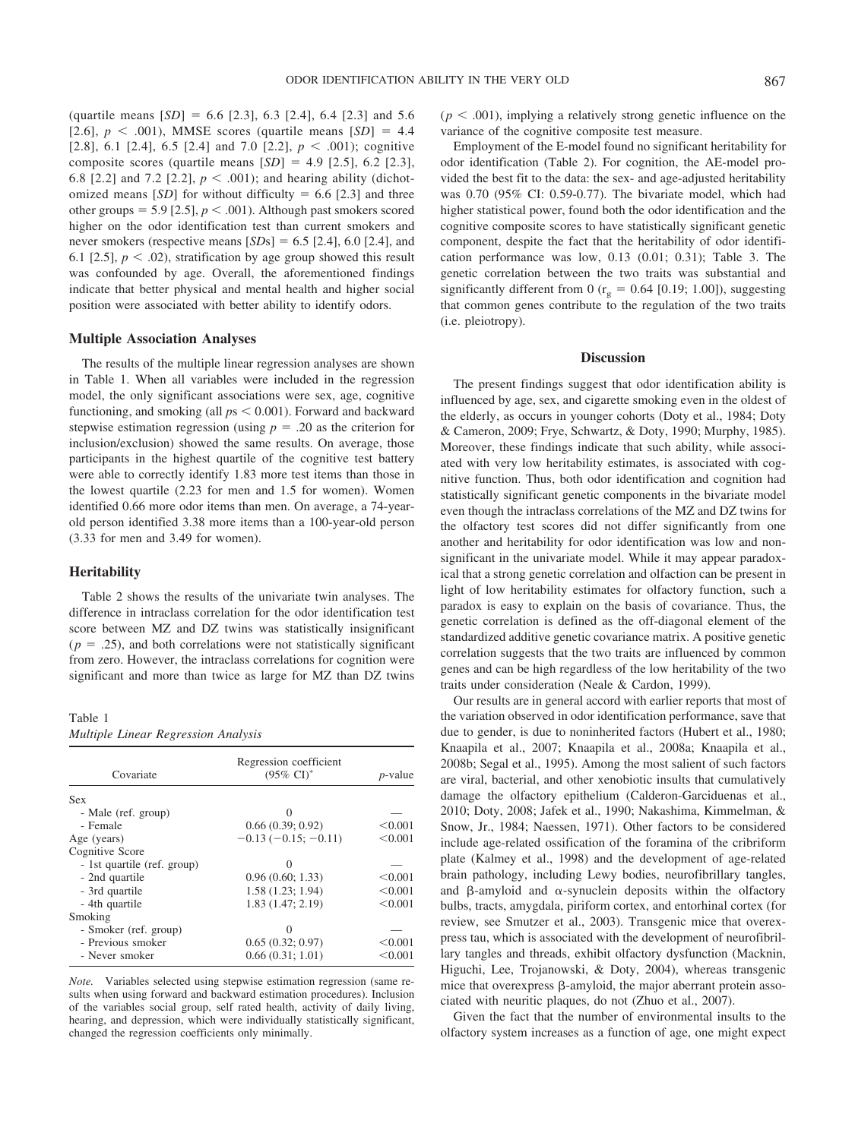(quartile means  $[SD] = 6.6$  [2.3], 6.3 [2.4], 6.4 [2.3] and 5.6 [2.6],  $p < .001$ ), MMSE scores (quartile means  $[SD] = 4.4$ [2.8], 6.1 [2.4], 6.5 [2.4] and 7.0 [2.2],  $p < .001$ ); cognitive composite scores (quartile means  $[SD] = 4.9$   $[2.5]$ , 6.2  $[2.3]$ , 6.8 [2.2] and 7.2 [2.2],  $p < .001$ ; and hearing ability (dichotomized means  $[SD]$  for without difficulty = 6.6 [2.3] and three other groups =  $5.9$  [2.5],  $p < .001$ ). Although past smokers scored higher on the odor identification test than current smokers and never smokers (respective means  $[SDs] = 6.5$  [2.4], 6.0 [2.4], and 6.1 [2.5],  $p < .02$ ), stratification by age group showed this result was confounded by age. Overall, the aforementioned findings indicate that better physical and mental health and higher social position were associated with better ability to identify odors.

#### **Multiple Association Analyses**

The results of the multiple linear regression analyses are shown in Table 1. When all variables were included in the regression model, the only significant associations were sex, age, cognitive functioning, and smoking (all  $ps < 0.001$ ). Forward and backward stepwise estimation regression (using  $p = 0.20$  as the criterion for inclusion/exclusion) showed the same results. On average, those participants in the highest quartile of the cognitive test battery were able to correctly identify 1.83 more test items than those in the lowest quartile (2.23 for men and 1.5 for women). Women identified 0.66 more odor items than men. On average, a 74-yearold person identified 3.38 more items than a 100-year-old person (3.33 for men and 3.49 for women).

#### **Heritability**

Table 2 shows the results of the univariate twin analyses. The difference in intraclass correlation for the odor identification test score between MZ and DZ twins was statistically insignificant  $(p = .25)$ , and both correlations were not statistically significant from zero. However, the intraclass correlations for cognition were significant and more than twice as large for MZ than DZ twins

# Table 1

*Multiple Linear Regression Analysis*

| Covariate                   | Regression coefficient<br>$(95\% \text{ CI})^*$ | <i>p</i> -value |  |
|-----------------------------|-------------------------------------------------|-----------------|--|
| <b>Sex</b>                  |                                                 |                 |  |
| - Male (ref. group)         | 0                                               |                 |  |
| - Female                    | 0.66(0.39; 0.92)                                | < 0.001         |  |
| Age (years)                 | $-0.13(-0.15; -0.11)$                           | < 0.001         |  |
| Cognitive Score             |                                                 |                 |  |
| - 1st quartile (ref. group) | $\Omega$                                        |                 |  |
| - 2nd quartile              | 0.96(0.60; 1.33)                                | < 0.001         |  |
| - 3rd quartile              | 1.58(1.23; 1.94)                                | < 0.001         |  |
| - 4th quartile              | 1.83(1.47; 2.19)                                | < 0.001         |  |
| Smoking                     |                                                 |                 |  |
| - Smoker (ref. group)       |                                                 |                 |  |
| - Previous smoker           | 0.65(0.32; 0.97)                                | < 0.001         |  |
| - Never smoker              | 0.66(0.31; 1.01)                                | < 0.001         |  |

*Note.* Variables selected using stepwise estimation regression (same results when using forward and backward estimation procedures). Inclusion of the variables social group, self rated health, activity of daily living, hearing, and depression, which were individually statistically significant, changed the regression coefficients only minimally.

 $(p < .001)$ , implying a relatively strong genetic influence on the variance of the cognitive composite test measure.

Employment of the E-model found no significant heritability for odor identification (Table 2). For cognition, the AE-model provided the best fit to the data: the sex- and age-adjusted heritability was 0.70 (95% CI: 0.59-0.77). The bivariate model, which had higher statistical power, found both the odor identification and the cognitive composite scores to have statistically significant genetic component, despite the fact that the heritability of odor identification performance was low, 0.13 (0.01; 0.31); Table 3. The genetic correlation between the two traits was substantial and significantly different from 0 ( $r_g = 0.64$  [0.19; 1.00]), suggesting that common genes contribute to the regulation of the two traits (i.e. pleiotropy).

## **Discussion**

The present findings suggest that odor identification ability is influenced by age, sex, and cigarette smoking even in the oldest of the elderly, as occurs in younger cohorts (Doty et al., 1984; Doty & Cameron, 2009; Frye, Schwartz, & Doty, 1990; Murphy, 1985). Moreover, these findings indicate that such ability, while associated with very low heritability estimates, is associated with cognitive function. Thus, both odor identification and cognition had statistically significant genetic components in the bivariate model even though the intraclass correlations of the MZ and DZ twins for the olfactory test scores did not differ significantly from one another and heritability for odor identification was low and nonsignificant in the univariate model. While it may appear paradoxical that a strong genetic correlation and olfaction can be present in light of low heritability estimates for olfactory function, such a paradox is easy to explain on the basis of covariance. Thus, the genetic correlation is defined as the off-diagonal element of the standardized additive genetic covariance matrix. A positive genetic correlation suggests that the two traits are influenced by common genes and can be high regardless of the low heritability of the two traits under consideration (Neale & Cardon, 1999).

Our results are in general accord with earlier reports that most of the variation observed in odor identification performance, save that due to gender, is due to noninherited factors (Hubert et al., 1980; Knaapila et al., 2007; Knaapila et al., 2008a; Knaapila et al., 2008b; Segal et al., 1995). Among the most salient of such factors are viral, bacterial, and other xenobiotic insults that cumulatively damage the olfactory epithelium (Calderon-Garciduenas et al., 2010; Doty, 2008; Jafek et al., 1990; Nakashima, Kimmelman, & Snow, Jr., 1984; Naessen, 1971). Other factors to be considered include age-related ossification of the foramina of the cribriform plate (Kalmey et al., 1998) and the development of age-related brain pathology, including Lewy bodies, neurofibrillary tangles, and  $\beta$ -amyloid and  $\alpha$ -synuclein deposits within the olfactory bulbs, tracts, amygdala, piriform cortex, and entorhinal cortex (for review, see Smutzer et al., 2003). Transgenic mice that overexpress tau, which is associated with the development of neurofibrillary tangles and threads, exhibit olfactory dysfunction (Macknin, Higuchi, Lee, Trojanowski, & Doty, 2004), whereas transgenic mice that overexpress  $\beta$ -amyloid, the major aberrant protein associated with neuritic plaques, do not (Zhuo et al., 2007).

Given the fact that the number of environmental insults to the olfactory system increases as a function of age, one might expect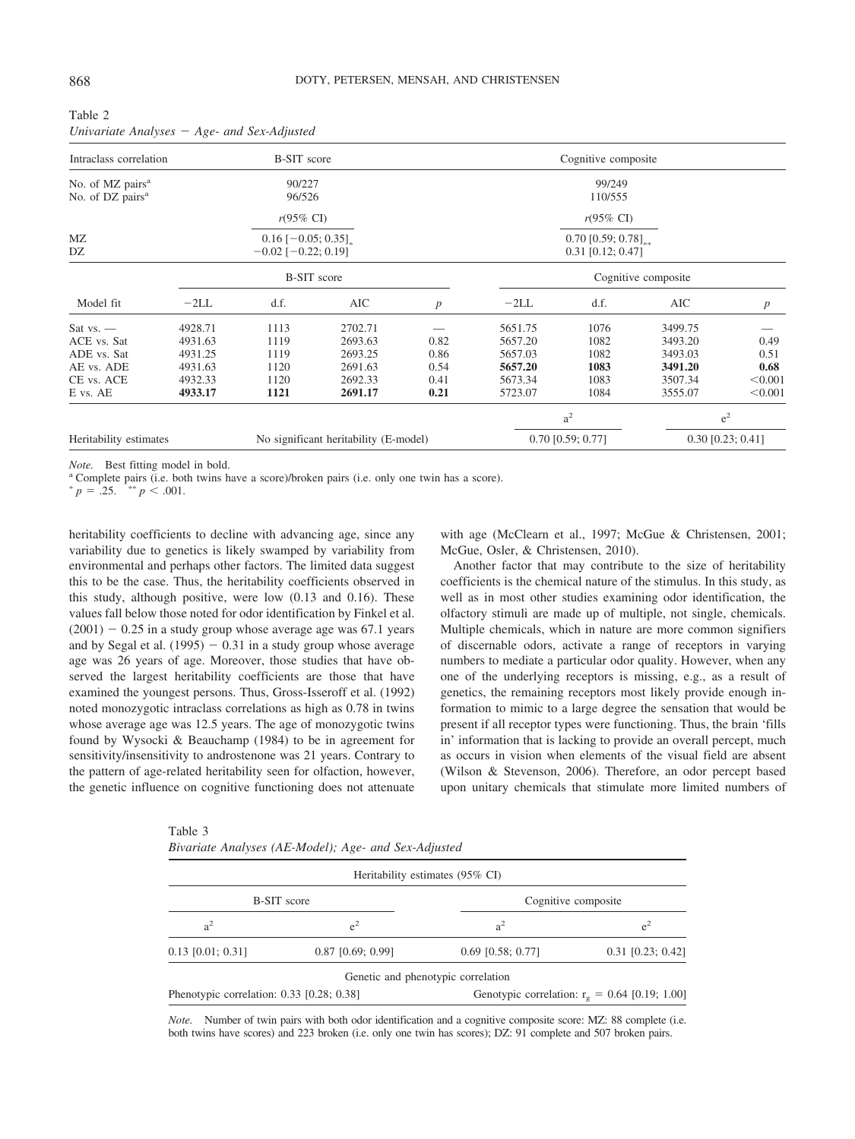| Intraclass correlation<br><b>B-SIT</b> score                 |         |                                                   |                                       |                  | Cognitive composite |                                            |                     |                     |
|--------------------------------------------------------------|---------|---------------------------------------------------|---------------------------------------|------------------|---------------------|--------------------------------------------|---------------------|---------------------|
| No. of MZ pairs <sup>a</sup><br>No. of DZ pairs <sup>a</sup> |         | 90/227<br>96/526                                  |                                       |                  |                     | 99/249<br>110/555                          |                     |                     |
|                                                              |         | $r(95\% \text{ CI})$                              |                                       |                  |                     | $r(95\% \text{ CI})$                       |                     |                     |
| MZ<br>DZ                                                     |         | $0.16$ [-0.05; 0.35]<br>$-0.02$ [ $-0.22$ ; 0.19] |                                       |                  |                     | $0.70$ [0.59; 0.78]<br>$0.31$ [0.12; 0.47] |                     |                     |
|                                                              |         |                                                   | <b>B-SIT</b> score                    |                  |                     |                                            | Cognitive composite |                     |
| Model fit                                                    | $-2LL$  | d.f.                                              | AIC                                   | $\boldsymbol{p}$ | $-2LL$              | d.f.                                       | AIC                 | $\boldsymbol{p}$    |
| Sat $vs.$ —                                                  | 4928.71 | 1113                                              | 2702.71                               |                  | 5651.75             | 1076                                       | 3499.75             |                     |
| ACE vs. Sat                                                  | 4931.63 | 1119                                              | 2693.63                               | 0.82             | 5657.20             | 1082                                       | 3493.20             | 0.49                |
| ADE vs. Sat                                                  | 4931.25 | 1119                                              | 2693.25                               | 0.86             | 5657.03             | 1082                                       | 3493.03             | 0.51                |
| AE vs. ADE                                                   | 4931.63 | 1120                                              | 2691.63                               | 0.54             | 5657.20             | 1083                                       | 3491.20             | 0.68                |
| CE vs. ACE                                                   | 4932.33 | 1120                                              | 2692.33                               | 0.41             | 5673.34             | 1083                                       | 3507.34             | < 0.001             |
| E vs. AE                                                     | 4933.17 | 1121                                              | 2691.17                               | 0.21             | 5723.07             | 1084                                       | 3555.07             | < 0.001             |
|                                                              |         |                                                   |                                       |                  |                     | a <sup>2</sup>                             |                     | $e^2$               |
| Heritability estimates                                       |         |                                                   | No significant heritability (E-model) |                  |                     | $0.70$ [0.59; 0.77]                        |                     | $0.30$ [0.23; 0.41] |

Table 2 *Univariate Analyses Age- and Sex-Adjusted*

*Note.* Best fitting model in bold. **a** Complete pairs (i.e. only one twin has a score). **a** Complete pairs (i.e. both twins have a score).

 $^{*}p = .25.$ \*\*  $p < .001$ .

heritability coefficients to decline with advancing age, since any variability due to genetics is likely swamped by variability from environmental and perhaps other factors. The limited data suggest this to be the case. Thus, the heritability coefficients observed in this study, although positive, were low (0.13 and 0.16). These values fall below those noted for odor identification by Finkel et al.  $(2001) - 0.25$  in a study group whose average age was 67.1 years and by Segal et al.  $(1995) - 0.31$  in a study group whose average age was 26 years of age. Moreover, those studies that have observed the largest heritability coefficients are those that have examined the youngest persons. Thus, Gross-Isseroff et al. (1992) noted monozygotic intraclass correlations as high as 0.78 in twins whose average age was 12.5 years. The age of monozygotic twins found by Wysocki & Beauchamp (1984) to be in agreement for sensitivity/insensitivity to androstenone was 21 years. Contrary to the pattern of age-related heritability seen for olfaction, however, the genetic influence on cognitive functioning does not attenuate

 $T<sub>1</sub>$ 

with age (McClearn et al., 1997; McGue & Christensen, 2001; McGue, Osler, & Christensen, 2010).

Another factor that may contribute to the size of heritability coefficients is the chemical nature of the stimulus. In this study, as well as in most other studies examining odor identification, the olfactory stimuli are made up of multiple, not single, chemicals. Multiple chemicals, which in nature are more common signifiers of discernable odors, activate a range of receptors in varying numbers to mediate a particular odor quality. However, when any one of the underlying receptors is missing, e.g., as a result of genetics, the remaining receptors most likely provide enough information to mimic to a large degree the sensation that would be present if all receptor types were functioning. Thus, the brain 'fills in' information that is lacking to provide an overall percept, much as occurs in vision when elements of the visual field are absent (Wilson & Stevenson, 2006). Therefore, an odor percept based upon unitary chemicals that stimulate more limited numbers of

| re diable 3                                          |  |
|------------------------------------------------------|--|
| Bivariate Analyses (AE-Model); Age- and Sex-Adjusted |  |

|                                           |                     | Heritability estimates (95% CI)    |                                                  |  |
|-------------------------------------------|---------------------|------------------------------------|--------------------------------------------------|--|
| <b>B-SIT</b> score                        |                     | Cognitive composite                |                                                  |  |
| $a^2$                                     | $e^2$               | a <sup>2</sup>                     | $e^2$                                            |  |
| $0.13$ [0.01; 0.31]                       | $0.87$ [0.69; 0.99] | $0.69$ [0.58; 0.77]                | $0.31$ [0.23; 0.42]                              |  |
|                                           |                     | Genetic and phenotypic correlation |                                                  |  |
| Phenotypic correlation: 0.33 [0.28; 0.38] |                     |                                    | Genotypic correlation: $r_g = 0.64$ [0.19; 1.00] |  |

*Note.* Number of twin pairs with both odor identification and a cognitive composite score: MZ: 88 complete (i.e. both twins have scores) and 223 broken (i.e. only one twin has scores); DZ: 91 complete and 507 broken pairs.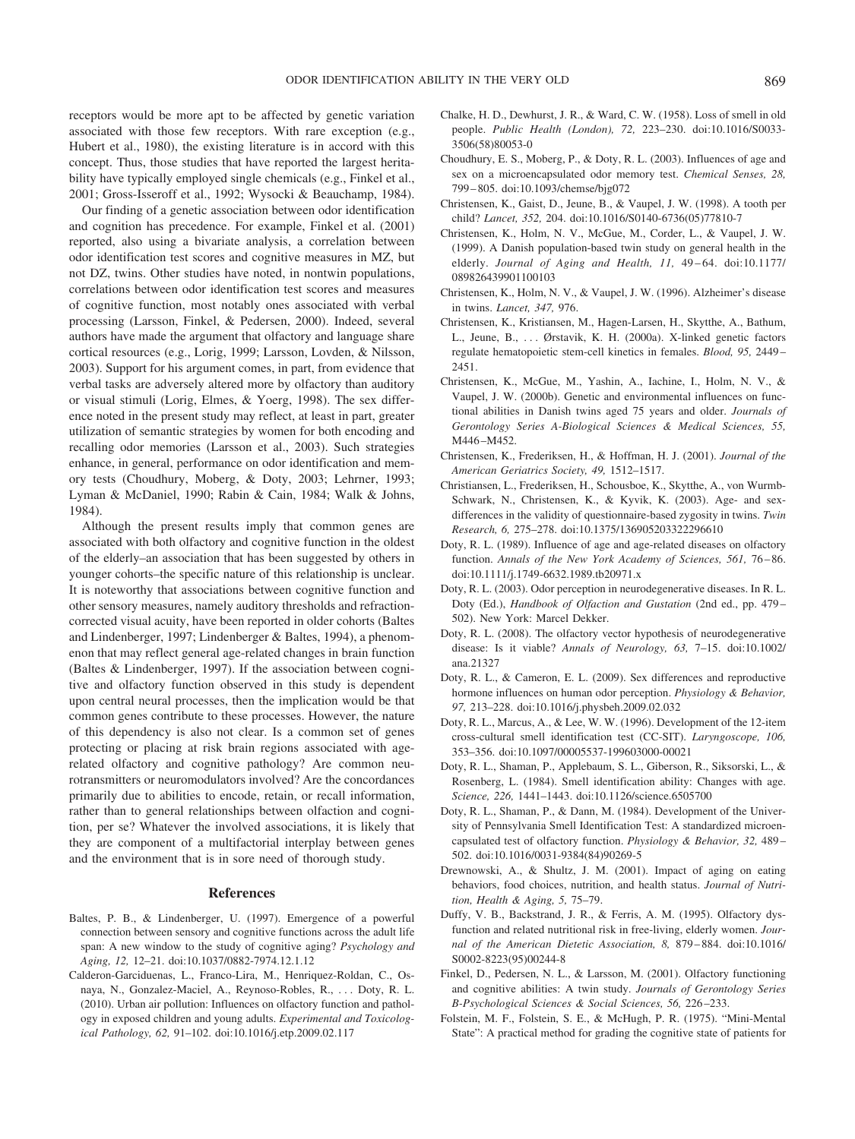receptors would be more apt to be affected by genetic variation associated with those few receptors. With rare exception (e.g., Hubert et al., 1980), the existing literature is in accord with this concept. Thus, those studies that have reported the largest heritability have typically employed single chemicals (e.g., Finkel et al., 2001; Gross-Isseroff et al., 1992; Wysocki & Beauchamp, 1984).

Our finding of a genetic association between odor identification and cognition has precedence. For example, Finkel et al. (2001) reported, also using a bivariate analysis, a correlation between odor identification test scores and cognitive measures in MZ, but not DZ, twins. Other studies have noted, in nontwin populations, correlations between odor identification test scores and measures of cognitive function, most notably ones associated with verbal processing (Larsson, Finkel, & Pedersen, 2000). Indeed, several authors have made the argument that olfactory and language share cortical resources (e.g., Lorig, 1999; Larsson, Lovden, & Nilsson, 2003). Support for his argument comes, in part, from evidence that verbal tasks are adversely altered more by olfactory than auditory or visual stimuli (Lorig, Elmes, & Yoerg, 1998). The sex difference noted in the present study may reflect, at least in part, greater utilization of semantic strategies by women for both encoding and recalling odor memories (Larsson et al., 2003). Such strategies enhance, in general, performance on odor identification and memory tests (Choudhury, Moberg, & Doty, 2003; Lehrner, 1993; Lyman & McDaniel, 1990; Rabin & Cain, 1984; Walk & Johns, 1984).

Although the present results imply that common genes are associated with both olfactory and cognitive function in the oldest of the elderly–an association that has been suggested by others in younger cohorts–the specific nature of this relationship is unclear. It is noteworthy that associations between cognitive function and other sensory measures, namely auditory thresholds and refractioncorrected visual acuity, have been reported in older cohorts (Baltes and Lindenberger, 1997; Lindenberger & Baltes, 1994), a phenomenon that may reflect general age-related changes in brain function (Baltes & Lindenberger, 1997). If the association between cognitive and olfactory function observed in this study is dependent upon central neural processes, then the implication would be that common genes contribute to these processes. However, the nature of this dependency is also not clear. Is a common set of genes protecting or placing at risk brain regions associated with agerelated olfactory and cognitive pathology? Are common neurotransmitters or neuromodulators involved? Are the concordances primarily due to abilities to encode, retain, or recall information, rather than to general relationships between olfaction and cognition, per se? Whatever the involved associations, it is likely that they are component of a multifactorial interplay between genes and the environment that is in sore need of thorough study.

## **References**

- Baltes, P. B., & Lindenberger, U. (1997). Emergence of a powerful connection between sensory and cognitive functions across the adult life span: A new window to the study of cognitive aging? *Psychology and Aging, 12,* 12–21. [doi:10.1037/0882-7974.12.1.12](http://dx.doi.org/10.1037/0882-7974.12.1.12)
- Calderon-Garciduenas, L., Franco-Lira, M., Henriquez-Roldan, C., Osnaya, N., Gonzalez-Maciel, A., Reynoso-Robles, R., . . . Doty, R. L. (2010). Urban air pollution: Influences on olfactory function and pathology in exposed children and young adults. *Experimental and Toxicological Pathology, 62,* 91–102. [doi:10.1016/j.etp.2009.02.117](http://dx.doi.org/10.1016/j.etp.2009.02.117)
- Chalke, H. D., Dewhurst, J. R., & Ward, C. W. (1958). Loss of smell in old people. *Public Health (London), 72,* 223–230. [doi:10.1016/S0033-](http://dx.doi.org/10.1016/S0033-3506%2858%2980053-0) [3506\(58\)80053-0](http://dx.doi.org/10.1016/S0033-3506%2858%2980053-0)
- Choudhury, E. S., Moberg, P., & Doty, R. L. (2003). Influences of age and sex on a microencapsulated odor memory test. *Chemical Senses, 28,* 799 – 805. [doi:10.1093/chemse/bjg072](http://dx.doi.org/10.1093/chemse/bjg072)
- Christensen, K., Gaist, D., Jeune, B., & Vaupel, J. W. (1998). A tooth per child? *Lancet, 352,* 204. [doi:10.1016/S0140-6736\(05\)77810-7](http://dx.doi.org/10.1016/S0140-6736%2805%2977810-7)
- Christensen, K., Holm, N. V., McGue, M., Corder, L., & Vaupel, J. W. (1999). A Danish population-based twin study on general health in the elderly. *Journal of Aging and Health*, 11, 49-64. [doi:10.1177/](http://dx.doi.org/10.1177/089826439901100103) [089826439901100103](http://dx.doi.org/10.1177/089826439901100103)
- Christensen, K., Holm, N. V., & Vaupel, J. W. (1996). Alzheimer's disease in twins. *Lancet, 347,* 976.
- Christensen, K., Kristiansen, M., Hagen-Larsen, H., Skytthe, A., Bathum, L., Jeune, B., . . . Ørstavik, K. H. (2000a). X-linked genetic factors regulate hematopoietic stem-cell kinetics in females. *Blood, 95,* 2449 – 2451.
- Christensen, K., McGue, M., Yashin, A., Iachine, I., Holm, N. V., & Vaupel, J. W. (2000b). Genetic and environmental influences on functional abilities in Danish twins aged 75 years and older. *Journals of Gerontology Series A-Biological Sciences & Medical Sciences, 55,* M446-M452.
- Christensen, K., Frederiksen, H., & Hoffman, H. J. (2001). *Journal of the American Geriatrics Society, 49,* 1512–1517.
- Christiansen, L., Frederiksen, H., Schousboe, K., Skytthe, A., von Wurmb-Schwark, N., Christensen, K., & Kyvik, K. (2003). Age- and sexdifferences in the validity of questionnaire-based zygosity in twins. *Twin Research, 6,* 275–278. [doi:10.1375/136905203322296610](http://dx.doi.org/10.1375/136905203322296610)
- Doty, R. L. (1989). Influence of age and age-related diseases on olfactory function. Annals of the New York Academy of Sciences, 561, 76-86. [doi:10.1111/j.1749-6632.1989.tb20971.x](http://dx.doi.org/10.1111/j.1749-6632.1989.tb20971.x)
- Doty, R. L. (2003). Odor perception in neurodegenerative diseases. In R. L. Doty (Ed.), *Handbook of Olfaction and Gustation* (2nd ed., pp. 479 – 502). New York: Marcel Dekker.
- Doty, R. L. (2008). The olfactory vector hypothesis of neurodegenerative disease: Is it viable? *Annals of Neurology, 63,* 7–15. [doi:10.1002/](http://dx.doi.org/10.1002/ana.21327) [ana.21327](http://dx.doi.org/10.1002/ana.21327)
- Doty, R. L., & Cameron, E. L. (2009). Sex differences and reproductive hormone influences on human odor perception. *Physiology & Behavior, 97,* 213–228. [doi:10.1016/j.physbeh.2009.02.032](http://dx.doi.org/10.1016/j.physbeh.2009.02.032)
- Doty, R. L., Marcus, A., & Lee, W. W. (1996). Development of the 12-item cross-cultural smell identification test (CC-SIT). *Laryngoscope, 106,* 353–356. [doi:10.1097/00005537-199603000-00021](http://dx.doi.org/10.1097/00005537-199603000-00021)
- Doty, R. L., Shaman, P., Applebaum, S. L., Giberson, R., Siksorski, L., & Rosenberg, L. (1984). Smell identification ability: Changes with age. *Science, 226,* 1441–1443. [doi:10.1126/science.6505700](http://dx.doi.org/10.1126/science.6505700)
- Doty, R. L., Shaman, P., & Dann, M. (1984). Development of the University of Pennsylvania Smell Identification Test: A standardized microencapsulated test of olfactory function. *Physiology & Behavior, 32,* 489 – 502. [doi:10.1016/0031-9384\(84\)90269-5](http://dx.doi.org/10.1016/0031-9384%2884%2990269-5)
- Drewnowski, A., & Shultz, J. M. (2001). Impact of aging on eating behaviors, food choices, nutrition, and health status. *Journal of Nutrition, Health & Aging, 5,* 75–79.
- Duffy, V. B., Backstrand, J. R., & Ferris, A. M. (1995). Olfactory dysfunction and related nutritional risk in free-living, elderly women. *Journal of the American Dietetic Association, 8,* 879 – 884. [doi:10.1016/](http://dx.doi.org/10.1016/S0002-8223%2895%2900244-8) [S0002-8223\(95\)00244-8](http://dx.doi.org/10.1016/S0002-8223%2895%2900244-8)
- Finkel, D., Pedersen, N. L., & Larsson, M. (2001). Olfactory functioning and cognitive abilities: A twin study. *Journals of Gerontology Series B-Psychological Sciences & Social Sciences, 56,* 226 –233.
- Folstein, M. F., Folstein, S. E., & McHugh, P. R. (1975). "Mini-Mental State": A practical method for grading the cognitive state of patients for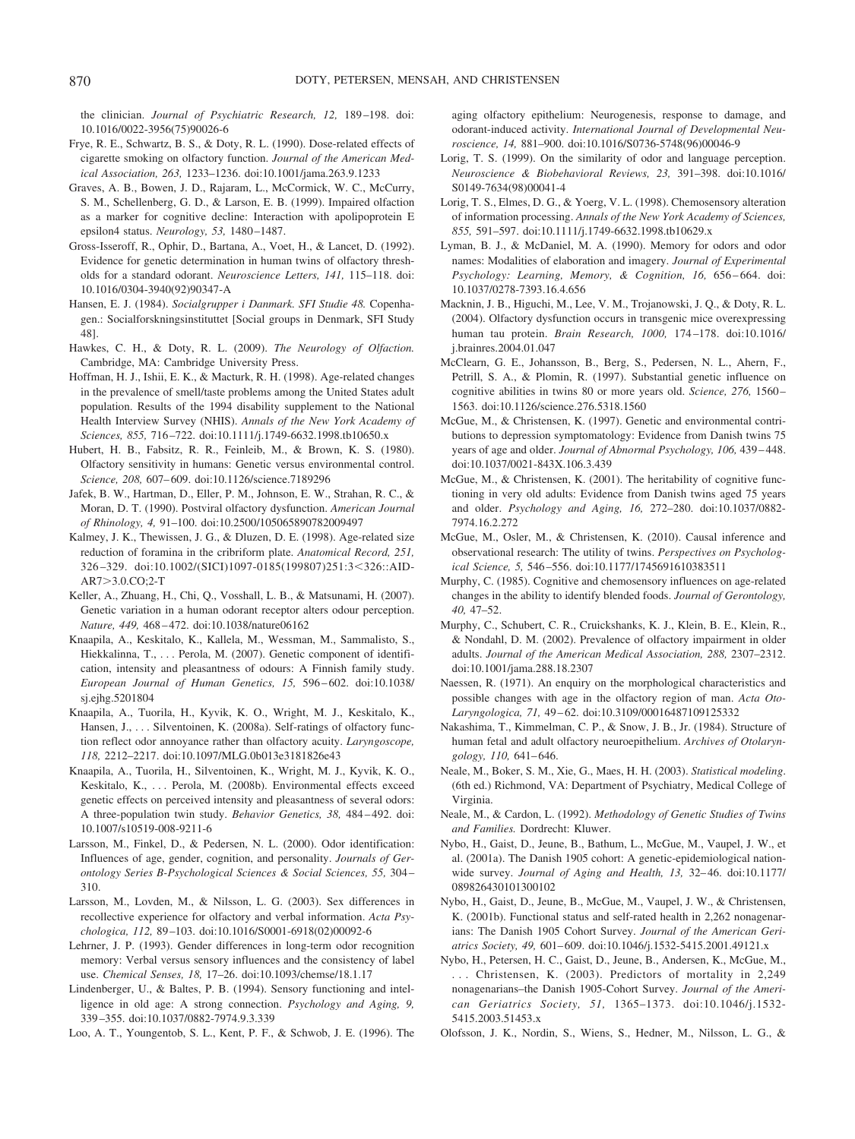the clinician. *Journal of Psychiatric Research, 12,* 189 –198. [doi:](http://dx.doi.org/10.1016/0022-3956%2875%2990026-6) [10.1016/0022-3956\(75\)90026-6](http://dx.doi.org/10.1016/0022-3956%2875%2990026-6)

- Frye, R. E., Schwartz, B. S., & Doty, R. L. (1990). Dose-related effects of cigarette smoking on olfactory function. *Journal of the American Medical Association, 263,* 1233–1236. [doi:10.1001/jama.263.9.1233](http://dx.doi.org/10.1001/jama.263.9.1233)
- Graves, A. B., Bowen, J. D., Rajaram, L., McCormick, W. C., McCurry, S. M., Schellenberg, G. D., & Larson, E. B. (1999). Impaired olfaction as a marker for cognitive decline: Interaction with apolipoprotein E epsilon4 status. *Neurology, 53,* 1480 –1487.
- Gross-Isseroff, R., Ophir, D., Bartana, A., Voet, H., & Lancet, D. (1992). Evidence for genetic determination in human twins of olfactory thresholds for a standard odorant. *Neuroscience Letters, 141,* 115–118. [doi:](http://dx.doi.org/10.1016/0304-3940%2892%2990347-A) [10.1016/0304-3940\(92\)90347-A](http://dx.doi.org/10.1016/0304-3940%2892%2990347-A)
- Hansen, E. J. (1984). *Socialgrupper i Danmark. SFI Studie 48.* Copenhagen.: Socialforskningsinstituttet [Social groups in Denmark, SFI Study 48].
- Hawkes, C. H., & Doty, R. L. (2009). *The Neurology of Olfaction.* Cambridge, MA: Cambridge University Press.
- Hoffman, H. J., Ishii, E. K., & Macturk, R. H. (1998). Age-related changes in the prevalence of smell/taste problems among the United States adult population. Results of the 1994 disability supplement to the National Health Interview Survey (NHIS). *Annals of the New York Academy of Sciences, 855,* 716 –722. [doi:10.1111/j.1749-6632.1998.tb10650.x](http://dx.doi.org/10.1111/j.1749-6632.1998.tb10650.x)
- Hubert, H. B., Fabsitz, R. R., Feinleib, M., & Brown, K. S. (1980). Olfactory sensitivity in humans: Genetic versus environmental control. *Science, 208,* 607– 609. [doi:10.1126/science.7189296](http://dx.doi.org/10.1126/science.7189296)
- Jafek, B. W., Hartman, D., Eller, P. M., Johnson, E. W., Strahan, R. C., & Moran, D. T. (1990). Postviral olfactory dysfunction. *American Journal of Rhinology, 4,* 91–100. [doi:10.2500/105065890782009497](http://dx.doi.org/10.2500/105065890782009497)
- Kalmey, J. K., Thewissen, J. G., & Dluzen, D. E. (1998). Age-related size reduction of foramina in the cribriform plate. *Anatomical Record, 251,* 326-329. [doi:10.1002/\(SICI\)1097-0185\(199807\)251:3](http://dx.doi.org/10.1002/(SICI)1097-0185(199807)251:3<326::AIDAR7>3.0.CO;2-T)<326::AID-AR7 [3.0.CO;2-T](http://dx.doi.org/10.1002/(SICI)1097-0185(199807)251:3<326::AIDAR7>3.0.CO;2-T)
- Keller, A., Zhuang, H., Chi, Q., Vosshall, L. B., & Matsunami, H. (2007). Genetic variation in a human odorant receptor alters odour perception. *Nature, 449,* 468 – 472. [doi:10.1038/nature06162](http://dx.doi.org/10.1038/nature06162)
- Knaapila, A., Keskitalo, K., Kallela, M., Wessman, M., Sammalisto, S., Hiekkalinna, T., . . . Perola, M. (2007). Genetic component of identification, intensity and pleasantness of odours: A Finnish family study. *European Journal of Human Genetics, 15,* 596 – 602. [doi:10.1038/](http://dx.doi.org/10.1038/sj.ejhg.5201804) [sj.ejhg.5201804](http://dx.doi.org/10.1038/sj.ejhg.5201804)
- Knaapila, A., Tuorila, H., Kyvik, K. O., Wright, M. J., Keskitalo, K., Hansen, J., ... Silventoinen, K. (2008a). Self-ratings of olfactory function reflect odor annoyance rather than olfactory acuity. *Laryngoscope, 118,* 2212–2217. [doi:10.1097/MLG.0b013e3181826e43](http://dx.doi.org/10.1097/MLG.0b013e3181826e43)
- Knaapila, A., Tuorila, H., Silventoinen, K., Wright, M. J., Kyvik, K. O., Keskitalo, K., ... Perola, M. (2008b). Environmental effects exceed genetic effects on perceived intensity and pleasantness of several odors: A three-population twin study. *Behavior Genetics, 38,* 484 – 492. [doi:](http://dx.doi.org/10.1007/s10519-008-9211-6) [10.1007/s10519-008-9211-6](http://dx.doi.org/10.1007/s10519-008-9211-6)
- Larsson, M., Finkel, D., & Pedersen, N. L. (2000). Odor identification: Influences of age, gender, cognition, and personality. *Journals of Gerontology Series B-Psychological Sciences & Social Sciences, 55,* 304 – 310.
- Larsson, M., Lovden, M., & Nilsson, L. G. (2003). Sex differences in recollective experience for olfactory and verbal information. *Acta Psychologica, 112,* 89 –103. [doi:10.1016/S0001-6918\(02\)00092-6](http://dx.doi.org/10.1016/S0001-6918%2802%2900092-6)
- Lehrner, J. P. (1993). Gender differences in long-term odor recognition memory: Verbal versus sensory influences and the consistency of label use. *Chemical Senses, 18,* 17–26. [doi:10.1093/chemse/18.1.17](http://dx.doi.org/10.1093/chemse/18.1.17)
- Lindenberger, U., & Baltes, P. B. (1994). Sensory functioning and intelligence in old age: A strong connection. *Psychology and Aging, 9,* 339 –355. [doi:10.1037/0882-7974.9.3.339](http://dx.doi.org/10.1037/0882-7974.9.3.339)

Loo, A. T., Youngentob, S. L., Kent, P. F., & Schwob, J. E. (1996). The

aging olfactory epithelium: Neurogenesis, response to damage, and odorant-induced activity. *International Journal of Developmental Neuroscience, 14,* 881–900. [doi:10.1016/S0736-5748\(96\)00046-9](http://dx.doi.org/10.1016/S0736-5748%2896%2900046-9)

- Lorig, T. S. (1999). On the similarity of odor and language perception. *Neuroscience & Biobehavioral Reviews, 23,* 391–398. [doi:10.1016/](http://dx.doi.org/10.1016/S0149-7634%2898%2900041-4) [S0149-7634\(98\)00041-4](http://dx.doi.org/10.1016/S0149-7634%2898%2900041-4)
- Lorig, T. S., Elmes, D. G., & Yoerg, V. L. (1998). Chemosensory alteration of information processing. *Annals of the New York Academy of Sciences, 855,* 591–597. [doi:10.1111/j.1749-6632.1998.tb10629.x](http://dx.doi.org/10.1111/j.1749-6632.1998.tb10629.x)
- Lyman, B. J., & McDaniel, M. A. (1990). Memory for odors and odor names: Modalities of elaboration and imagery. *Journal of Experimental* Psychology: Learning, Memory, & Cognition, 16, 656-664. [doi:](http://dx.doi.org/10.1037/0278-7393.16.4.656) [10.1037/0278-7393.16.4.656](http://dx.doi.org/10.1037/0278-7393.16.4.656)
- Macknin, J. B., Higuchi, M., Lee, V. M., Trojanowski, J. Q., & Doty, R. L. (2004). Olfactory dysfunction occurs in transgenic mice overexpressing human tau protein. *Brain Research, 1000,* 174 –178. [doi:10.1016/](http://dx.doi.org/10.1016/j.brainres.2004.01.047) [j.brainres.2004.01.047](http://dx.doi.org/10.1016/j.brainres.2004.01.047)
- McClearn, G. E., Johansson, B., Berg, S., Pedersen, N. L., Ahern, F., Petrill, S. A., & Plomin, R. (1997). Substantial genetic influence on cognitive abilities in twins 80 or more years old. *Science, 276,* 1560 – 1563. [doi:10.1126/science.276.5318.1560](http://dx.doi.org/10.1126/science.276.5318.1560)
- McGue, M., & Christensen, K. (1997). Genetic and environmental contributions to depression symptomatology: Evidence from Danish twins 75 years of age and older. *Journal of Abnormal Psychology, 106,* 439 – 448. [doi:10.1037/0021-843X.106.3.439](http://dx.doi.org/10.1037/0021-843X.106.3.439)
- McGue, M., & Christensen, K. (2001). The heritability of cognitive functioning in very old adults: Evidence from Danish twins aged 75 years and older. *Psychology and Aging, 16,* 272–280. [doi:10.1037/0882-](http://dx.doi.org/10.1037/0882-7974.16.2.272) [7974.16.2.272](http://dx.doi.org/10.1037/0882-7974.16.2.272)
- McGue, M., Osler, M., & Christensen, K. (2010). Causal inference and observational research: The utility of twins. *Perspectives on Psychological Science, 5,* 546 –556. [doi:10.1177/1745691610383511](http://dx.doi.org/10.1177/1745691610383511)
- Murphy, C. (1985). Cognitive and chemosensory influences on age-related changes in the ability to identify blended foods. *Journal of Gerontology, 40,* 47–52.
- Murphy, C., Schubert, C. R., Cruickshanks, K. J., Klein, B. E., Klein, R., & Nondahl, D. M. (2002). Prevalence of olfactory impairment in older adults. *Journal of the American Medical Association, 288,* 2307–2312. [doi:10.1001/jama.288.18.2307](http://dx.doi.org/10.1001/jama.288.18.2307)
- Naessen, R. (1971). An enquiry on the morphological characteristics and possible changes with age in the olfactory region of man. *Acta Oto-Laryngologica, 71,* 49 – 62. [doi:10.3109/00016487109125332](http://dx.doi.org/10.3109/00016487109125332)
- Nakashima, T., Kimmelman, C. P., & Snow, J. B., Jr. (1984). Structure of human fetal and adult olfactory neuroepithelium. *Archives of Otolaryngology, 110,* 641– 646.
- Neale, M., Boker, S. M., Xie, G., Maes, H. H. (2003). *Statistical modeling*. (6th ed.) Richmond, VA: Department of Psychiatry, Medical College of Virginia.
- Neale, M., & Cardon, L. (1992). *Methodology of Genetic Studies of Twins and Families.* Dordrecht: Kluwer.
- Nybo, H., Gaist, D., Jeune, B., Bathum, L., McGue, M., Vaupel, J. W., et al. (2001a). The Danish 1905 cohort: A genetic-epidemiological nationwide survey. *Journal of Aging and Health*, 13, 32-46. [doi:10.1177/](http://dx.doi.org/10.1177/089826430101300102) [089826430101300102](http://dx.doi.org/10.1177/089826430101300102)
- Nybo, H., Gaist, D., Jeune, B., McGue, M., Vaupel, J. W., & Christensen, K. (2001b). Functional status and self-rated health in 2,262 nonagenarians: The Danish 1905 Cohort Survey. *Journal of the American Geriatrics Society, 49,* 601– 609. [doi:10.1046/j.1532-5415.2001.49121.x](http://dx.doi.org/10.1046/j.1532-5415.2001.49121.x)
- Nybo, H., Petersen, H. C., Gaist, D., Jeune, B., Andersen, K., McGue, M., . . . Christensen, K. (2003). Predictors of mortality in 2,249 nonagenarians–the Danish 1905-Cohort Survey. *Journal of the American Geriatrics Society, 51,* 1365–1373. [doi:10.1046/j.1532-](http://dx.doi.org/10.1046/j.1532-5415.2003.51453.x) [5415.2003.51453.x](http://dx.doi.org/10.1046/j.1532-5415.2003.51453.x)
- Olofsson, J. K., Nordin, S., Wiens, S., Hedner, M., Nilsson, L. G., &